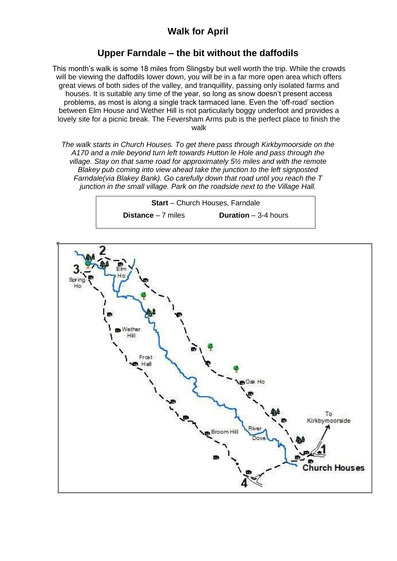## **Walk for April**

## **Upper Farndale – the bit without the daffodils**

This month's walk is some 18 miles from Slingsby but well worth the trip. While the crowds will be viewing the daffodils lower down, you will be in a far more open area which offers great views of both sides of the valley, and tranquillity, passing only isolated farms and houses. It is suitable any time of the year, so long as snow doesn't present access problems, as most is along a single track tarmaced lane. Even the 'off-road' section between Elm House and Wether Hill is not particularly boggy underfoot and provides a lovely site for a picnic break. The Feversham Arms pub is the perfect place to finish the walk

*The walk starts in Church Houses. To get there pass through Kirkbymoorside on the A170 and a mile beyond turn left towards Hutton le Hole and pass through the village. Stay on that same road for approximately 5½ miles and with the remote Blakey pub coming into view ahead take the junction to the left signposted Farndale(via Blakey Bank). Go carefully down that road until you reach the T junction in the small village. Park on the roadside next to the Village Hall.*